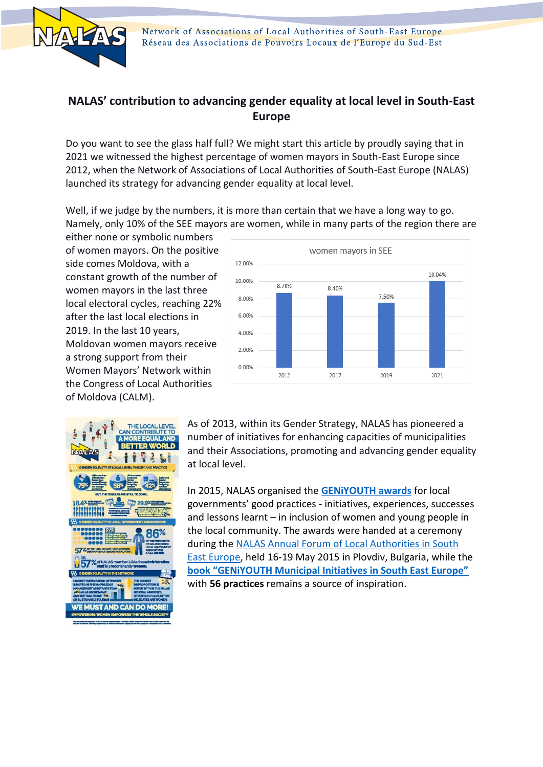

## **NALAS' contribution to advancing gender equality at local level in South-East Europe**

Do you want to see the glass half full? We might start this article by proudly saying that in 2021 we witnessed the highest percentage of women mayors in South-East Europe since 2012, when the Network of Associations of Local Authorities of South-East Europe (NALAS) launched its strategy for advancing gender equality at local level.

Well, if we judge by the numbers, it is more than certain that we have a long way to go. Namely, only 10% of the SEE mayors are women, while in many parts of the region there are

either none or symbolic numbers of women mayors. On the positive side comes Moldova, with a constant growth of the number of women mayors in the last three local electoral cycles, reaching 22% after the last local elections in 2019. In the last 10 years, Moldovan women mayors receive a strong support from their Women Mayors' Network within the Congress of Local Authorities of Moldova (CALM).





As of 2013, within its Gender Strategy, NALAS has pioneered a number of initiatives for enhancing capacities of municipalities and their Associations, promoting and advancing gender equality at local level.

In 2015, NALAS organised the **[GENiYOUTH awards](http://www.nalas.eu/News/GENiYOUTH_Awards_winners)** for local governments' good practices - initiatives, experiences, successes and lessons learnt – in inclusion of women and young people in the local community. The awards were handed at a ceremony during th[e NALAS Annual Forum of Local Authorities in South](http://www.nalas.eu/News/Live_in_Plovdiv)  [East Europe,](http://www.nalas.eu/News/Live_in_Plovdiv) held 16-19 May 2015 in Plovdiv, Bulgaria, while the **[book "GENiYOUTH Municipal Initiatives in South East Europe"](http://www.nalas.eu/News/GeniYouth_Publication)** with **56 practices** remains a source of inspiration.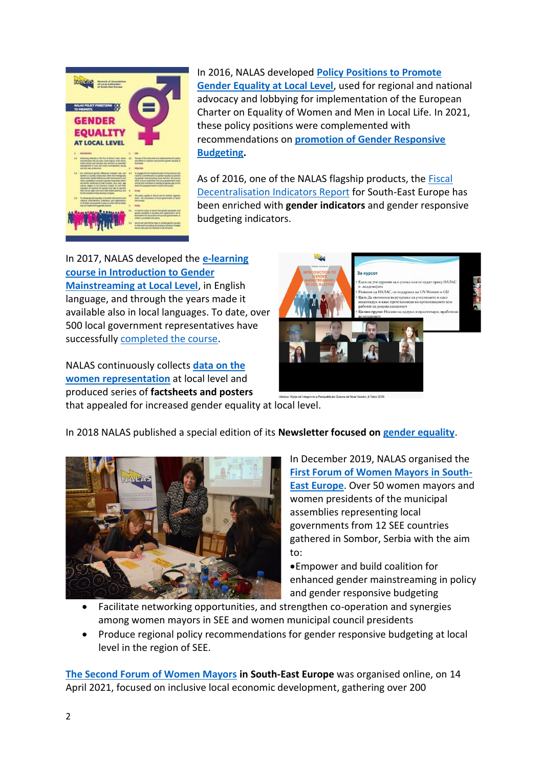

In 2016, NALAS developed **Policy Positions to Promote [Gender Equality at Local Level](http://www.nalas.eu/services/Gender_Policy)**[, used for regional and national](http://www.nalas.eu/services/Gender_Policy)  advocacy and lobbying for implementation of the European Charter on Equality of Women and Men in Local Life. In 2021, these policy positions were complemented with recommendations on **[promotion of Gender Responsive](http://www.nalas.eu/News/GRB_Recommend)  [Budgeting.](http://www.nalas.eu/News/GRB_Recommend)**

As of 2016, one of the NALAS flagship products, the [Fiscal](http://www.nalas.eu/Publications/Books/2016_FD_Report)  [Decentralisation Indicators Report](http://www.nalas.eu/Publications/Books/2016_FD_Report) for South-East Europe has been enriched with **gender indicators** and gender responsive budgeting indicators.

In 2017, NALAS developed the **[e-learning](http://www.nalas.eu/News/Gender_course)  [course in Introduction to Gender](http://www.nalas.eu/News/Gender_course)  [Mainstreaming at Local Level](http://www.nalas.eu/News/Gender_course)**, in English language, and through the years made it available also in local languages. To date, over 500 local government representatives have successfully [completed the course.](http://www.nalas.eu/News/Gender_20)

NALAS continuously collects **[data on the](http://www.nalas.eu/News/Gender_info)  [women representation](http://www.nalas.eu/News/Gender_info)** at local level and produced series of **factsheets and posters**



that appealed for increased gender equality at local level.

## In 2018 NALAS published a special edition of its **Newsletter focused on [gender equality](http://www.nalas.eu/Publications/Newsletter/NALAS_Newsletter_2018)**.



In December 2019, NALAS organised the **[First Forum of Women Mayors in South-](http://www.nalas.eu/News/Sombor19)[East Europe](http://www.nalas.eu/News/Sombor19)**. Over 50 women mayors and women presidents of the municipal assemblies representing local governments from 12 SEE countries gathered in Sombor, Serbia with the aim to:

•Empower and build coalition for enhanced gender mainstreaming in policy and gender responsive budgeting

- Facilitate networking opportunities, and strengthen co-operation and synergies among women mayors in SEE and women municipal council presidents
- Produce regional policy recommendations for gender responsive budgeting at local level in the region of SEE.

**[The Second Forum of Women Mayors](http://www.nalas.eu/News/GA2021_3) in South-East Europe** was organised online, on 14 April 2021, focused on inclusive local economic development, gathering over 200